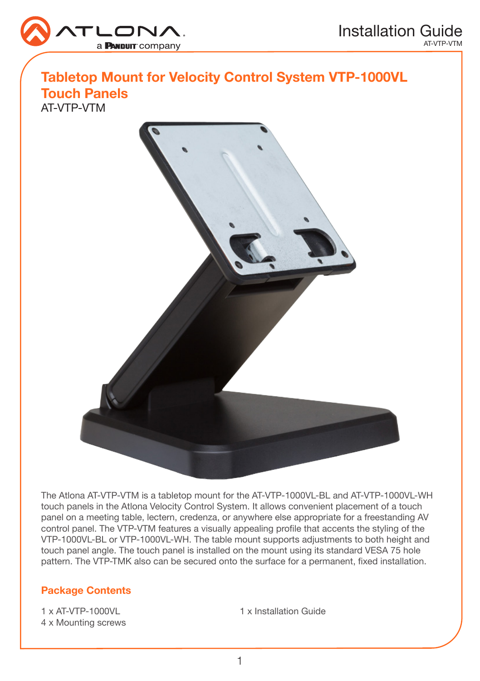

## Tabletop Mount for Velocity Control System VTP-1000VL

Touch Panels AT-VTP-VTM



The Atlona AT-VTP-VTM is a tabletop mount for the AT-VTP-1000VL-BL and AT-VTP-1000VL-WH touch panels in the Atlona Velocity Control System. It allows convenient placement of a touch panel on a meeting table, lectern, credenza, or anywhere else appropriate for a freestanding AV control panel. The VTP-VTM features a visually appealing profile that accents the styling of the VTP-1000VL-BL or VTP-1000VL-WH. The table mount supports adjustments to both height and touch panel angle. The touch panel is installed on the mount using its standard VESA 75 hole pattern. The VTP-TMK also can be secured onto the surface for a permanent, fixed installation.

## Package Contents

1 x AT-VTP-1000VL 4 x Mounting screws 1 x Installation Guide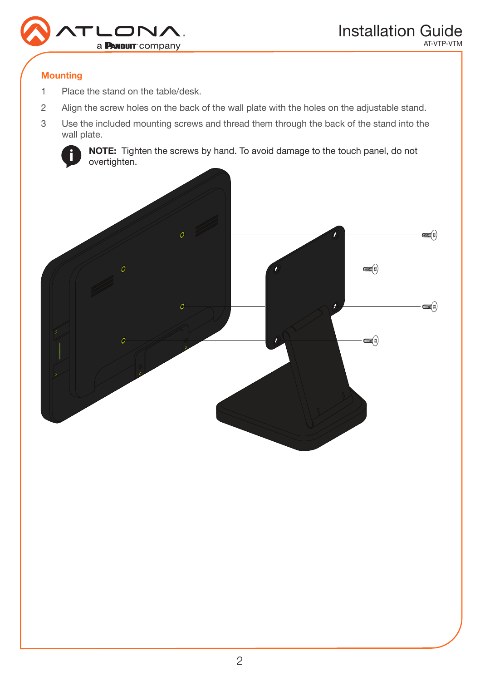

### **Mounting**

- 1 Place the stand on the table/desk.
- 2 Align the screw holes on the back of the wall plate with the holes on the adjustable stand.
- 3 Use the included mounting screws and thread them through the back of the stand into the wall plate.



NOTE: Tighten the screws by hand. To avoid damage to the touch panel, do not overtighten.

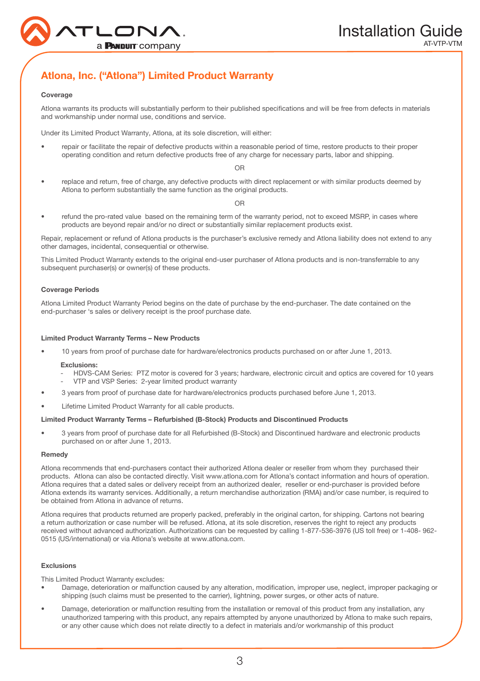

## Atlona, Inc. ("Atlona") Limited Product Warranty

#### Coverage

Atlona warrants its products will substantially perform to their published specifications and will be free from defects in materials and workmanship under normal use, conditions and service.

Under its Limited Product Warranty, Atlona, at its sole discretion, will either:

• repair or facilitate the repair of defective products within a reasonable period of time, restore products to their proper operating condition and return defective products free of any charge for necessary parts, labor and shipping.

#### OR

• replace and return, free of charge, any defective products with direct replacement or with similar products deemed by Atlona to perform substantially the same function as the original products.

 $\cap$ 

• refund the pro-rated value based on the remaining term of the warranty period, not to exceed MSRP, in cases where products are beyond repair and/or no direct or substantially similar replacement products exist.

Repair, replacement or refund of Atlona products is the purchaser's exclusive remedy and Atlona liability does not extend to any other damages, incidental, consequential or otherwise.

This Limited Product Warranty extends to the original end-user purchaser of Atlona products and is non-transferrable to any subsequent purchaser(s) or owner(s) of these products.

#### Coverage Periods

Atlona Limited Product Warranty Period begins on the date of purchase by the end-purchaser. The date contained on the end-purchaser 's sales or delivery receipt is the proof purchase date.

#### Limited Product Warranty Terms – New Products

• 10 years from proof of purchase date for hardware/electronics products purchased on or after June 1, 2013.

#### Exclusions:

- HDVS-CAM Series: PTZ motor is covered for 3 years; hardware, electronic circuit and optics are covered for 10 years
- VTP and VSP Series: 2-year limited product warranty
- 3 years from proof of purchase date for hardware/electronics products purchased before June 1, 2013.
- Lifetime Limited Product Warranty for all cable products.

#### Limited Product Warranty Terms – Refurbished (B-Stock) Products and Discontinued Products

• 3 years from proof of purchase date for all Refurbished (B-Stock) and Discontinued hardware and electronic products purchased on or after June 1, 2013.

#### Remedy

Atlona recommends that end-purchasers contact their authorized Atlona dealer or reseller from whom they purchased their products. Atlona can also be contacted directly. Visit www.atlona.com for Atlona's contact information and hours of operation. Atlona requires that a dated sales or delivery receipt from an authorized dealer, reseller or end-purchaser is provided before Atlona extends its warranty services. Additionally, a return merchandise authorization (RMA) and/or case number, is required to be obtained from Atlona in advance of returns.

Atlona requires that products returned are properly packed, preferably in the original carton, for shipping. Cartons not bearing a return authorization or case number will be refused. Atlona, at its sole discretion, reserves the right to reject any products received without advanced authorization. Authorizations can be requested by calling 1-877-536-3976 (US toll free) or 1-408- 962- 0515 (US/international) or via Atlona's website at www.atlona.com.

#### Exclusions

This Limited Product Warranty excludes:

- Damage, deterioration or malfunction caused by any alteration, modification, improper use, neglect, improper packaging or shipping (such claims must be presented to the carrier), lightning, power surges, or other acts of nature.
- Damage, deterioration or malfunction resulting from the installation or removal of this product from any installation, any unauthorized tampering with this product, any repairs attempted by anyone unauthorized by Atlona to make such repairs, or any other cause which does not relate directly to a defect in materials and/or workmanship of this product